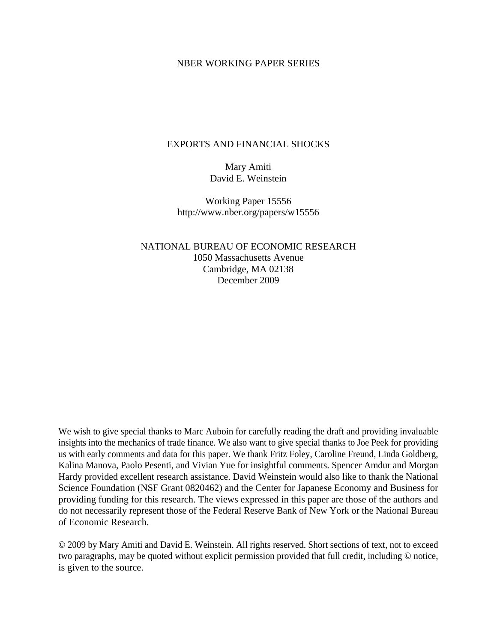## NBER WORKING PAPER SERIES

## EXPORTS AND FINANCIAL SHOCKS

Mary Amiti David E. Weinstein

Working Paper 15556 http://www.nber.org/papers/w15556

NATIONAL BUREAU OF ECONOMIC RESEARCH 1050 Massachusetts Avenue Cambridge, MA 02138 December 2009

We wish to give special thanks to Marc Auboin for carefully reading the draft and providing invaluable insights into the mechanics of trade finance. We also want to give special thanks to Joe Peek for providing us with early comments and data for this paper. We thank Fritz Foley, Caroline Freund, Linda Goldberg, Kalina Manova, Paolo Pesenti, and Vivian Yue for insightful comments. Spencer Amdur and Morgan Hardy provided excellent research assistance. David Weinstein would also like to thank the National Science Foundation (NSF Grant 0820462) and the Center for Japanese Economy and Business for providing funding for this research. The views expressed in this paper are those of the authors and do not necessarily represent those of the Federal Reserve Bank of New York or the National Bureau of Economic Research.

© 2009 by Mary Amiti and David E. Weinstein. All rights reserved. Short sections of text, not to exceed two paragraphs, may be quoted without explicit permission provided that full credit, including © notice, is given to the source.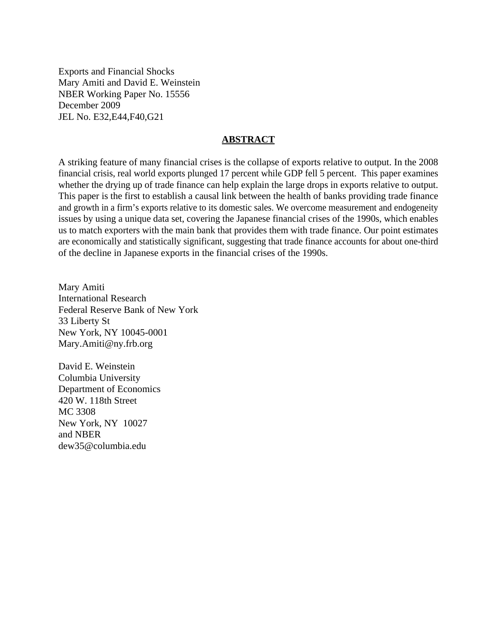Exports and Financial Shocks Mary Amiti and David E. Weinstein NBER Working Paper No. 15556 December 2009 JEL No. E32,E44,F40,G21

## **ABSTRACT**

A striking feature of many financial crises is the collapse of exports relative to output. In the 2008 financial crisis, real world exports plunged 17 percent while GDP fell 5 percent. This paper examines whether the drying up of trade finance can help explain the large drops in exports relative to output. This paper is the first to establish a causal link between the health of banks providing trade finance and growth in a firm's exports relative to its domestic sales. We overcome measurement and endogeneity issues by using a unique data set, covering the Japanese financial crises of the 1990s, which enables us to match exporters with the main bank that provides them with trade finance. Our point estimates are economically and statistically significant, suggesting that trade finance accounts for about one-third of the decline in Japanese exports in the financial crises of the 1990s.

Mary Amiti International Research Federal Reserve Bank of New York 33 Liberty St New York, NY 10045-0001 Mary.Amiti@ny.frb.org

David E. Weinstein Columbia University Department of Economics 420 W. 118th Street MC 3308 New York, NY 10027 and NBER dew35@columbia.edu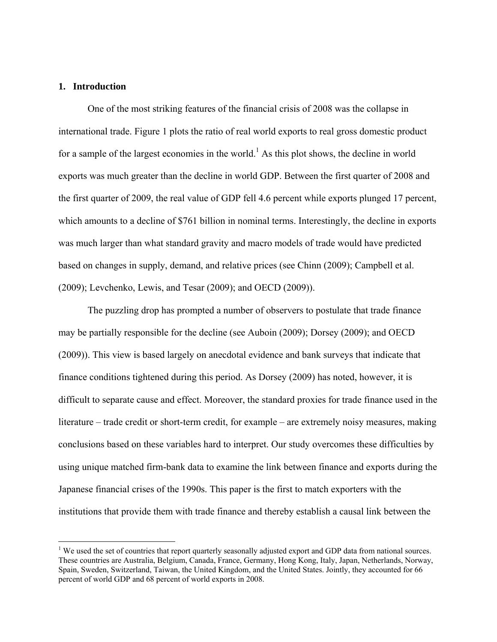## **1. Introduction**

 $\overline{a}$ 

 One of the most striking features of the financial crisis of 2008 was the collapse in international trade. Figure 1 plots the ratio of real world exports to real gross domestic product for a sample of the largest economies in the world.<sup>1</sup> As this plot shows, the decline in world exports was much greater than the decline in world GDP. Between the first quarter of 2008 and the first quarter of 2009, the real value of GDP fell 4.6 percent while exports plunged 17 percent, which amounts to a decline of \$761 billion in nominal terms. Interestingly, the decline in exports was much larger than what standard gravity and macro models of trade would have predicted based on changes in supply, demand, and relative prices (see Chinn (2009); Campbell et al. (2009); Levchenko, Lewis, and Tesar (2009); and OECD (2009)).

The puzzling drop has prompted a number of observers to postulate that trade finance may be partially responsible for the decline (see Auboin (2009); Dorsey (2009); and OECD (2009)). This view is based largely on anecdotal evidence and bank surveys that indicate that finance conditions tightened during this period. As Dorsey (2009) has noted, however, it is difficult to separate cause and effect. Moreover, the standard proxies for trade finance used in the literature – trade credit or short-term credit, for example – are extremely noisy measures, making conclusions based on these variables hard to interpret. Our study overcomes these difficulties by using unique matched firm-bank data to examine the link between finance and exports during the Japanese financial crises of the 1990s. This paper is the first to match exporters with the institutions that provide them with trade finance and thereby establish a causal link between the

 $1$  We used the set of countries that report quarterly seasonally adjusted export and GDP data from national sources. These countries are Australia, Belgium, Canada, France, Germany, Hong Kong, Italy, Japan, Netherlands, Norway, Spain, Sweden, Switzerland, Taiwan, the United Kingdom, and the United States. Jointly, they accounted for 66 percent of world GDP and 68 percent of world exports in 2008.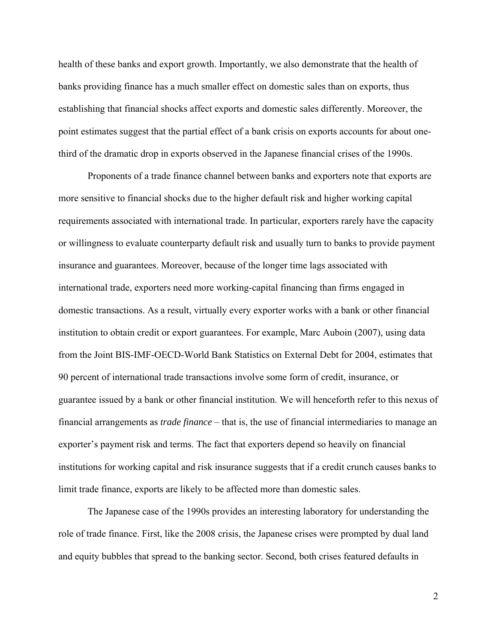health of these banks and export growth. Importantly, we also demonstrate that the health of banks providing finance has a much smaller effect on domestic sales than on exports, thus establishing that financial shocks affect exports and domestic sales differently. Moreover, the point estimates suggest that the partial effect of a bank crisis on exports accounts for about onethird of the dramatic drop in exports observed in the Japanese financial crises of the 1990s.

Proponents of a trade finance channel between banks and exporters note that exports are more sensitive to financial shocks due to the higher default risk and higher working capital requirements associated with international trade. In particular, exporters rarely have the capacity or willingness to evaluate counterparty default risk and usually turn to banks to provide payment insurance and guarantees. Moreover, because of the longer time lags associated with international trade, exporters need more working-capital financing than firms engaged in domestic transactions. As a result, virtually every exporter works with a bank or other financial institution to obtain credit or export guarantees. For example, Marc Auboin (2007), using data from the Joint BIS-IMF-OECD-World Bank Statistics on External Debt for 2004, estimates that 90 percent of international trade transactions involve some form of credit, insurance, or guarantee issued by a bank or other financial institution. We will henceforth refer to this nexus of financial arrangements as *trade finance* – that is, the use of financial intermediaries to manage an exporter's payment risk and terms. The fact that exporters depend so heavily on financial institutions for working capital and risk insurance suggests that if a credit crunch causes banks to limit trade finance, exports are likely to be affected more than domestic sales.

The Japanese case of the 1990s provides an interesting laboratory for understanding the role of trade finance. First, like the 2008 crisis, the Japanese crises were prompted by dual land and equity bubbles that spread to the banking sector. Second, both crises featured defaults in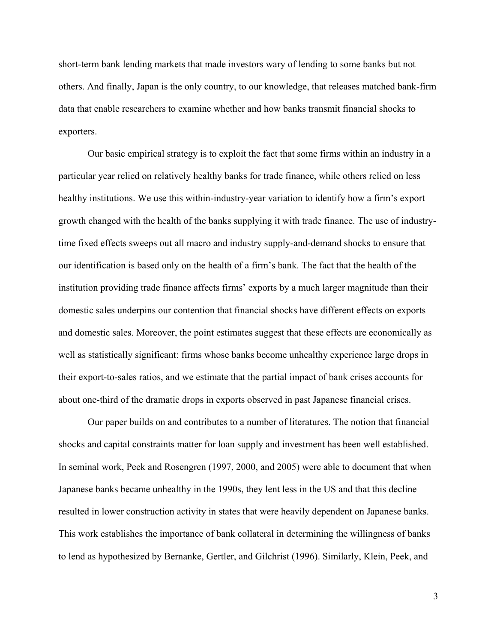short-term bank lending markets that made investors wary of lending to some banks but not others. And finally, Japan is the only country, to our knowledge, that releases matched bank-firm data that enable researchers to examine whether and how banks transmit financial shocks to exporters.

Our basic empirical strategy is to exploit the fact that some firms within an industry in a particular year relied on relatively healthy banks for trade finance, while others relied on less healthy institutions. We use this within-industry-year variation to identify how a firm's export growth changed with the health of the banks supplying it with trade finance. The use of industrytime fixed effects sweeps out all macro and industry supply-and-demand shocks to ensure that our identification is based only on the health of a firm's bank. The fact that the health of the institution providing trade finance affects firms' exports by a much larger magnitude than their domestic sales underpins our contention that financial shocks have different effects on exports and domestic sales. Moreover, the point estimates suggest that these effects are economically as well as statistically significant: firms whose banks become unhealthy experience large drops in their export-to-sales ratios, and we estimate that the partial impact of bank crises accounts for about one-third of the dramatic drops in exports observed in past Japanese financial crises.

 Our paper builds on and contributes to a number of literatures. The notion that financial shocks and capital constraints matter for loan supply and investment has been well established. In seminal work, Peek and Rosengren (1997, 2000, and 2005) were able to document that when Japanese banks became unhealthy in the 1990s, they lent less in the US and that this decline resulted in lower construction activity in states that were heavily dependent on Japanese banks. This work establishes the importance of bank collateral in determining the willingness of banks to lend as hypothesized by Bernanke, Gertler, and Gilchrist (1996). Similarly, Klein, Peek, and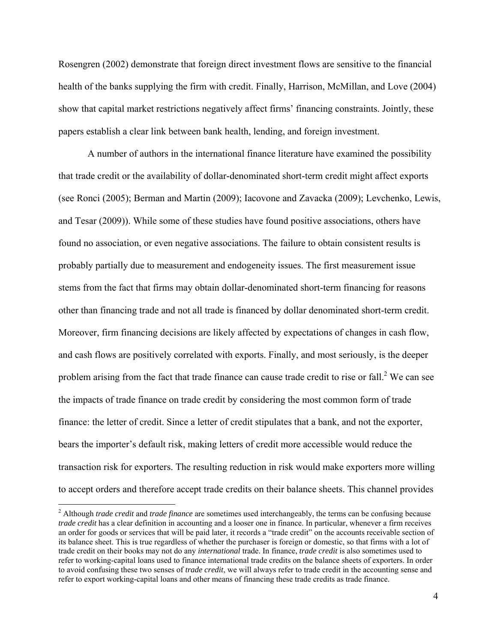Rosengren (2002) demonstrate that foreign direct investment flows are sensitive to the financial health of the banks supplying the firm with credit. Finally, Harrison, McMillan, and Love (2004) show that capital market restrictions negatively affect firms' financing constraints. Jointly, these papers establish a clear link between bank health, lending, and foreign investment.

A number of authors in the international finance literature have examined the possibility that trade credit or the availability of dollar-denominated short-term credit might affect exports (see Ronci (2005); Berman and Martin (2009); Iacovone and Zavacka (2009); Levchenko, Lewis, and Tesar (2009)). While some of these studies have found positive associations, others have found no association, or even negative associations. The failure to obtain consistent results is probably partially due to measurement and endogeneity issues. The first measurement issue stems from the fact that firms may obtain dollar-denominated short-term financing for reasons other than financing trade and not all trade is financed by dollar denominated short-term credit. Moreover, firm financing decisions are likely affected by expectations of changes in cash flow, and cash flows are positively correlated with exports. Finally, and most seriously, is the deeper problem arising from the fact that trade finance can cause trade credit to rise or fall.<sup>2</sup> We can see the impacts of trade finance on trade credit by considering the most common form of trade finance: the letter of credit. Since a letter of credit stipulates that a bank, and not the exporter, bears the importer's default risk, making letters of credit more accessible would reduce the transaction risk for exporters. The resulting reduction in risk would make exporters more willing to accept orders and therefore accept trade credits on their balance sheets. This channel provides

<sup>2</sup> Although *trade credit* and *trade finance* are sometimes used interchangeably, the terms can be confusing because *trade credit* has a clear definition in accounting and a looser one in finance. In particular, whenever a firm receives an order for goods or services that will be paid later, it records a "trade credit" on the accounts receivable section of its balance sheet. This is true regardless of whether the purchaser is foreign or domestic, so that firms with a lot of trade credit on their books may not do any *international* trade. In finance, *trade credit* is also sometimes used to refer to working-capital loans used to finance international trade credits on the balance sheets of exporters. In order to avoid confusing these two senses of *trade credit*, we will always refer to trade credit in the accounting sense and refer to export working-capital loans and other means of financing these trade credits as trade finance.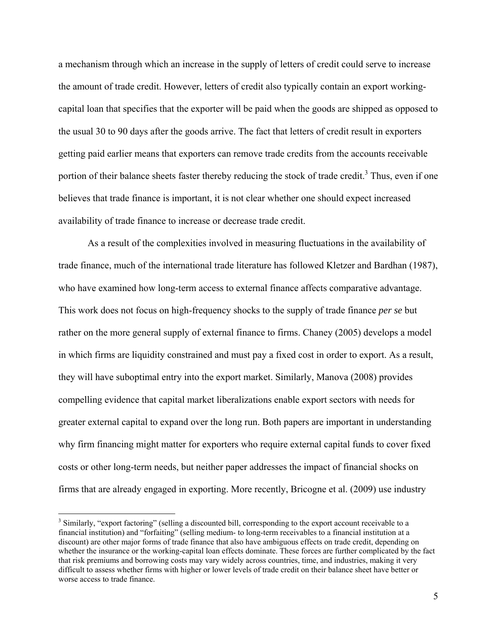a mechanism through which an increase in the supply of letters of credit could serve to increase the amount of trade credit. However, letters of credit also typically contain an export workingcapital loan that specifies that the exporter will be paid when the goods are shipped as opposed to the usual 30 to 90 days after the goods arrive. The fact that letters of credit result in exporters getting paid earlier means that exporters can remove trade credits from the accounts receivable portion of their balance sheets faster thereby reducing the stock of trade credit.<sup>3</sup> Thus, even if one believes that trade finance is important, it is not clear whether one should expect increased availability of trade finance to increase or decrease trade credit.

As a result of the complexities involved in measuring fluctuations in the availability of trade finance, much of the international trade literature has followed Kletzer and Bardhan (1987), who have examined how long-term access to external finance affects comparative advantage. This work does not focus on high-frequency shocks to the supply of trade finance *per se* but rather on the more general supply of external finance to firms. Chaney (2005) develops a model in which firms are liquidity constrained and must pay a fixed cost in order to export. As a result, they will have suboptimal entry into the export market. Similarly, Manova (2008) provides compelling evidence that capital market liberalizations enable export sectors with needs for greater external capital to expand over the long run. Both papers are important in understanding why firm financing might matter for exporters who require external capital funds to cover fixed costs or other long-term needs, but neither paper addresses the impact of financial shocks on firms that are already engaged in exporting. More recently, Bricogne et al. (2009) use industry

<u>.</u>

 $3$  Similarly, "export factoring" (selling a discounted bill, corresponding to the export account receivable to a financial institution) and "forfaiting" (selling medium- to long-term receivables to a financial institution at a discount) are other major forms of trade finance that also have ambiguous effects on trade credit, depending on whether the insurance or the working-capital loan effects dominate. These forces are further complicated by the fact that risk premiums and borrowing costs may vary widely across countries, time, and industries, making it very difficult to assess whether firms with higher or lower levels of trade credit on their balance sheet have better or worse access to trade finance.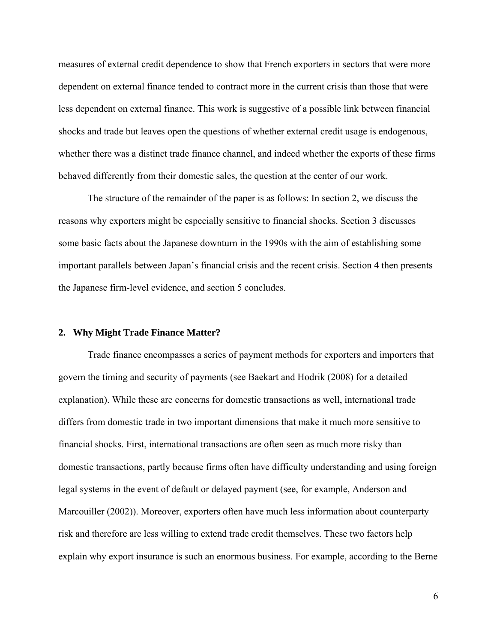measures of external credit dependence to show that French exporters in sectors that were more dependent on external finance tended to contract more in the current crisis than those that were less dependent on external finance. This work is suggestive of a possible link between financial shocks and trade but leaves open the questions of whether external credit usage is endogenous, whether there was a distinct trade finance channel, and indeed whether the exports of these firms behaved differently from their domestic sales, the question at the center of our work.

The structure of the remainder of the paper is as follows: In section 2, we discuss the reasons why exporters might be especially sensitive to financial shocks. Section 3 discusses some basic facts about the Japanese downturn in the 1990s with the aim of establishing some important parallels between Japan's financial crisis and the recent crisis. Section 4 then presents the Japanese firm-level evidence, and section 5 concludes.

## **2. Why Might Trade Finance Matter?**

 Trade finance encompasses a series of payment methods for exporters and importers that govern the timing and security of payments (see Baekart and Hodrik (2008) for a detailed explanation). While these are concerns for domestic transactions as well, international trade differs from domestic trade in two important dimensions that make it much more sensitive to financial shocks. First, international transactions are often seen as much more risky than domestic transactions, partly because firms often have difficulty understanding and using foreign legal systems in the event of default or delayed payment (see, for example, Anderson and Marcouiller (2002)). Moreover, exporters often have much less information about counterparty risk and therefore are less willing to extend trade credit themselves. These two factors help explain why export insurance is such an enormous business. For example, according to the Berne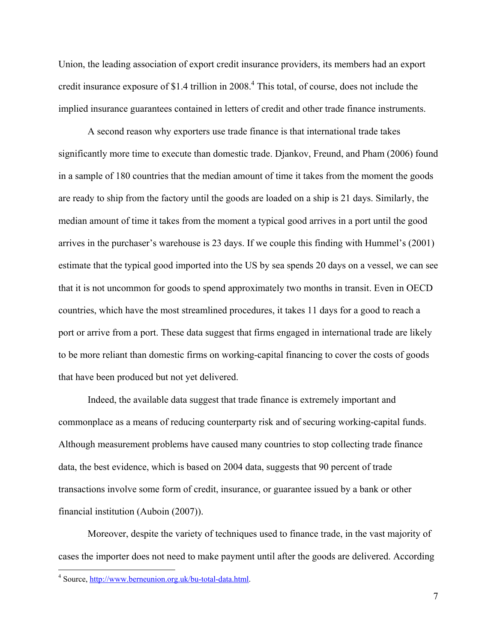Union, the leading association of export credit insurance providers, its members had an export credit insurance exposure of \$1.4 trillion in 2008.<sup>4</sup> This total, of course, does not include the implied insurance guarantees contained in letters of credit and other trade finance instruments.

A second reason why exporters use trade finance is that international trade takes significantly more time to execute than domestic trade. Djankov, Freund, and Pham (2006) found in a sample of 180 countries that the median amount of time it takes from the moment the goods are ready to ship from the factory until the goods are loaded on a ship is 21 days. Similarly, the median amount of time it takes from the moment a typical good arrives in a port until the good arrives in the purchaser's warehouse is 23 days. If we couple this finding with Hummel's (2001) estimate that the typical good imported into the US by sea spends 20 days on a vessel, we can see that it is not uncommon for goods to spend approximately two months in transit. Even in OECD countries, which have the most streamlined procedures, it takes 11 days for a good to reach a port or arrive from a port. These data suggest that firms engaged in international trade are likely to be more reliant than domestic firms on working-capital financing to cover the costs of goods that have been produced but not yet delivered.

 Indeed, the available data suggest that trade finance is extremely important and commonplace as a means of reducing counterparty risk and of securing working-capital funds. Although measurement problems have caused many countries to stop collecting trade finance data, the best evidence, which is based on 2004 data, suggests that 90 percent of trade transactions involve some form of credit, insurance, or guarantee issued by a bank or other financial institution (Auboin (2007)).

Moreover, despite the variety of techniques used to finance trade, in the vast majority of cases the importer does not need to make payment until after the goods are delivered. According

<sup>4&</sup>lt;br><sup>4</sup> Source, <u>http://www.berneunion.org.uk/bu-total-data.html</u>.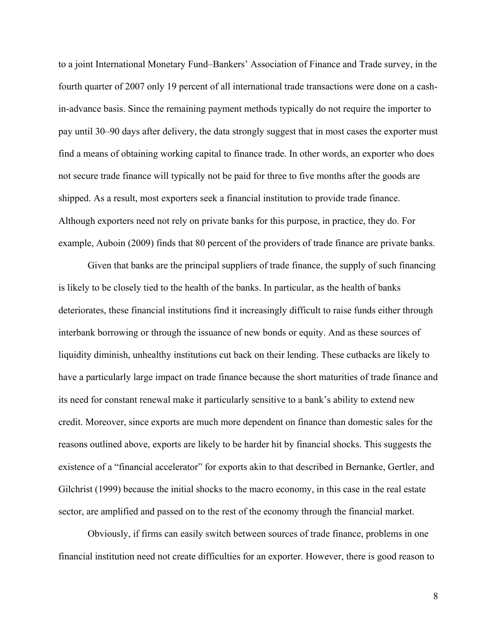to a joint International Monetary Fund–Bankers' Association of Finance and Trade survey, in the fourth quarter of 2007 only 19 percent of all international trade transactions were done on a cashin-advance basis. Since the remaining payment methods typically do not require the importer to pay until 30–90 days after delivery, the data strongly suggest that in most cases the exporter must find a means of obtaining working capital to finance trade. In other words, an exporter who does not secure trade finance will typically not be paid for three to five months after the goods are shipped. As a result, most exporters seek a financial institution to provide trade finance. Although exporters need not rely on private banks for this purpose, in practice, they do. For example, Auboin (2009) finds that 80 percent of the providers of trade finance are private banks.

 Given that banks are the principal suppliers of trade finance, the supply of such financing is likely to be closely tied to the health of the banks. In particular, as the health of banks deteriorates, these financial institutions find it increasingly difficult to raise funds either through interbank borrowing or through the issuance of new bonds or equity. And as these sources of liquidity diminish, unhealthy institutions cut back on their lending. These cutbacks are likely to have a particularly large impact on trade finance because the short maturities of trade finance and its need for constant renewal make it particularly sensitive to a bank's ability to extend new credit. Moreover, since exports are much more dependent on finance than domestic sales for the reasons outlined above, exports are likely to be harder hit by financial shocks. This suggests the existence of a "financial accelerator" for exports akin to that described in Bernanke, Gertler, and Gilchrist (1999) because the initial shocks to the macro economy, in this case in the real estate sector, are amplified and passed on to the rest of the economy through the financial market.

Obviously, if firms can easily switch between sources of trade finance, problems in one financial institution need not create difficulties for an exporter. However, there is good reason to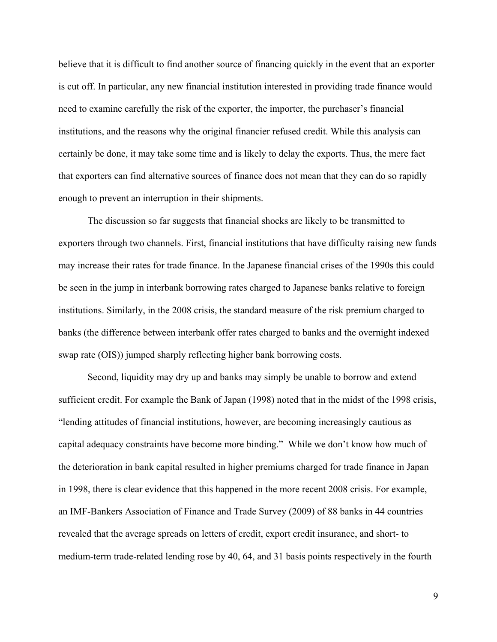believe that it is difficult to find another source of financing quickly in the event that an exporter is cut off. In particular, any new financial institution interested in providing trade finance would need to examine carefully the risk of the exporter, the importer, the purchaser's financial institutions, and the reasons why the original financier refused credit. While this analysis can certainly be done, it may take some time and is likely to delay the exports. Thus, the mere fact that exporters can find alternative sources of finance does not mean that they can do so rapidly enough to prevent an interruption in their shipments.

The discussion so far suggests that financial shocks are likely to be transmitted to exporters through two channels. First, financial institutions that have difficulty raising new funds may increase their rates for trade finance. In the Japanese financial crises of the 1990s this could be seen in the jump in interbank borrowing rates charged to Japanese banks relative to foreign institutions. Similarly, in the 2008 crisis, the standard measure of the risk premium charged to banks (the difference between interbank offer rates charged to banks and the overnight indexed swap rate (OIS)) jumped sharply reflecting higher bank borrowing costs.

Second, liquidity may dry up and banks may simply be unable to borrow and extend sufficient credit. For example the Bank of Japan (1998) noted that in the midst of the 1998 crisis, "lending attitudes of financial institutions, however, are becoming increasingly cautious as capital adequacy constraints have become more binding." While we don't know how much of the deterioration in bank capital resulted in higher premiums charged for trade finance in Japan in 1998, there is clear evidence that this happened in the more recent 2008 crisis. For example, an IMF-Bankers Association of Finance and Trade Survey (2009) of 88 banks in 44 countries revealed that the average spreads on letters of credit, export credit insurance, and short- to medium-term trade-related lending rose by 40, 64, and 31 basis points respectively in the fourth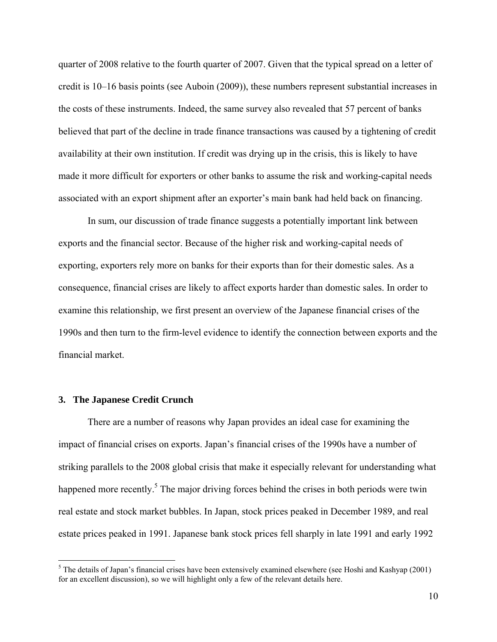quarter of 2008 relative to the fourth quarter of 2007. Given that the typical spread on a letter of credit is 10–16 basis points (see Auboin (2009)), these numbers represent substantial increases in the costs of these instruments. Indeed, the same survey also revealed that 57 percent of banks believed that part of the decline in trade finance transactions was caused by a tightening of credit availability at their own institution. If credit was drying up in the crisis, this is likely to have made it more difficult for exporters or other banks to assume the risk and working-capital needs associated with an export shipment after an exporter's main bank had held back on financing.

 In sum, our discussion of trade finance suggests a potentially important link between exports and the financial sector. Because of the higher risk and working-capital needs of exporting, exporters rely more on banks for their exports than for their domestic sales. As a consequence, financial crises are likely to affect exports harder than domestic sales. In order to examine this relationship, we first present an overview of the Japanese financial crises of the 1990s and then turn to the firm-level evidence to identify the connection between exports and the financial market.

## **3. The Japanese Credit Crunch**

 $\overline{a}$ 

 There are a number of reasons why Japan provides an ideal case for examining the impact of financial crises on exports. Japan's financial crises of the 1990s have a number of striking parallels to the 2008 global crisis that make it especially relevant for understanding what happened more recently.<sup>5</sup> The major driving forces behind the crises in both periods were twin real estate and stock market bubbles. In Japan, stock prices peaked in December 1989, and real estate prices peaked in 1991. Japanese bank stock prices fell sharply in late 1991 and early 1992

 $<sup>5</sup>$  The details of Japan's financial crises have been extensively examined elsewhere (see Hoshi and Kashyap (2001)</sup> for an excellent discussion), so we will highlight only a few of the relevant details here.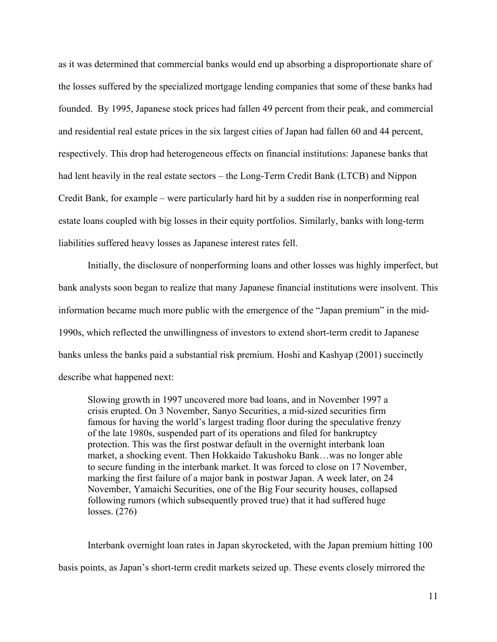as it was determined that commercial banks would end up absorbing a disproportionate share of the losses suffered by the specialized mortgage lending companies that some of these banks had founded. By 1995, Japanese stock prices had fallen 49 percent from their peak, and commercial and residential real estate prices in the six largest cities of Japan had fallen 60 and 44 percent, respectively. This drop had heterogeneous effects on financial institutions: Japanese banks that had lent heavily in the real estate sectors – the Long-Term Credit Bank (LTCB) and Nippon Credit Bank, for example – were particularly hard hit by a sudden rise in nonperforming real estate loans coupled with big losses in their equity portfolios. Similarly, banks with long-term liabilities suffered heavy losses as Japanese interest rates fell.

 Initially, the disclosure of nonperforming loans and other losses was highly imperfect, but bank analysts soon began to realize that many Japanese financial institutions were insolvent. This information became much more public with the emergence of the "Japan premium" in the mid-1990s, which reflected the unwillingness of investors to extend short-term credit to Japanese banks unless the banks paid a substantial risk premium. Hoshi and Kashyap (2001) succinctly describe what happened next:

Slowing growth in 1997 uncovered more bad loans, and in November 1997 a crisis erupted. On 3 November, Sanyo Securities, a mid-sized securities firm famous for having the world's largest trading floor during the speculative frenzy of the late 1980s, suspended part of its operations and filed for bankruptcy protection. This was the first postwar default in the overnight interbank loan market, a shocking event. Then Hokkaido Takushoku Bank…was no longer able to secure funding in the interbank market. It was forced to close on 17 November, marking the first failure of a major bank in postwar Japan. A week later, on 24 November, Yamaichi Securities, one of the Big Four security houses, collapsed following rumors (which subsequently proved true) that it had suffered huge losses. (276)

Interbank overnight loan rates in Japan skyrocketed, with the Japan premium hitting 100 basis points, as Japan's short-term credit markets seized up. These events closely mirrored the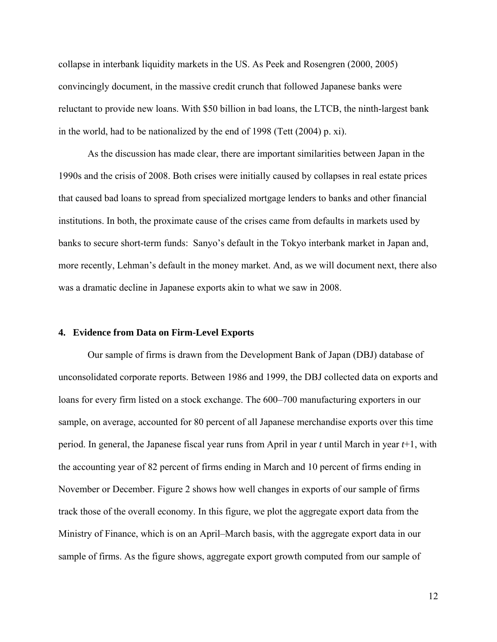collapse in interbank liquidity markets in the US. As Peek and Rosengren (2000, 2005) convincingly document, in the massive credit crunch that followed Japanese banks were reluctant to provide new loans. With \$50 billion in bad loans, the LTCB, the ninth-largest bank in the world, had to be nationalized by the end of 1998 (Tett (2004) p. xi).

As the discussion has made clear, there are important similarities between Japan in the 1990s and the crisis of 2008. Both crises were initially caused by collapses in real estate prices that caused bad loans to spread from specialized mortgage lenders to banks and other financial institutions. In both, the proximate cause of the crises came from defaults in markets used by banks to secure short-term funds: Sanyo's default in the Tokyo interbank market in Japan and, more recently, Lehman's default in the money market. And, as we will document next, there also was a dramatic decline in Japanese exports akin to what we saw in 2008.

## **4. Evidence from Data on Firm-Level Exports**

Our sample of firms is drawn from the Development Bank of Japan (DBJ) database of unconsolidated corporate reports. Between 1986 and 1999, the DBJ collected data on exports and loans for every firm listed on a stock exchange. The 600–700 manufacturing exporters in our sample, on average, accounted for 80 percent of all Japanese merchandise exports over this time period. In general, the Japanese fiscal year runs from April in year *t* until March in year *t*+1, with the accounting year of 82 percent of firms ending in March and 10 percent of firms ending in November or December. Figure 2 shows how well changes in exports of our sample of firms track those of the overall economy. In this figure, we plot the aggregate export data from the Ministry of Finance, which is on an April–March basis, with the aggregate export data in our sample of firms. As the figure shows, aggregate export growth computed from our sample of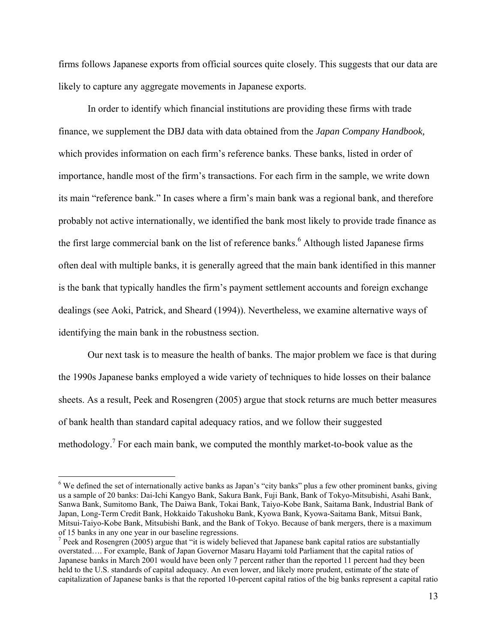firms follows Japanese exports from official sources quite closely. This suggests that our data are likely to capture any aggregate movements in Japanese exports.

In order to identify which financial institutions are providing these firms with trade finance, we supplement the DBJ data with data obtained from the *Japan Company Handbook,* which provides information on each firm's reference banks. These banks, listed in order of importance, handle most of the firm's transactions. For each firm in the sample, we write down its main "reference bank." In cases where a firm's main bank was a regional bank, and therefore probably not active internationally, we identified the bank most likely to provide trade finance as the first large commercial bank on the list of reference banks.<sup>6</sup> Although listed Japanese firms often deal with multiple banks, it is generally agreed that the main bank identified in this manner is the bank that typically handles the firm's payment settlement accounts and foreign exchange dealings (see Aoki, Patrick, and Sheard (1994)). Nevertheless, we examine alternative ways of identifying the main bank in the robustness section.

Our next task is to measure the health of banks. The major problem we face is that during the 1990s Japanese banks employed a wide variety of techniques to hide losses on their balance sheets. As a result, Peek and Rosengren (2005) argue that stock returns are much better measures of bank health than standard capital adequacy ratios, and we follow their suggested methodology.<sup>7</sup> For each main bank, we computed the monthly market-to-book value as the

 $\overline{a}$ 

 $6$  We defined the set of internationally active banks as Japan's "city banks" plus a few other prominent banks, giving us a sample of 20 banks: Dai-Ichi Kangyo Bank, Sakura Bank, Fuji Bank, Bank of Tokyo-Mitsubishi, Asahi Bank, Sanwa Bank, Sumitomo Bank, The Daiwa Bank, Tokai Bank, Taiyo-Kobe Bank, Saitama Bank, Industrial Bank of Japan, Long-Term Credit Bank, Hokkaido Takushoku Bank, Kyowa Bank, Kyowa-Saitama Bank, Mitsui Bank, Mitsui-Taiyo-Kobe Bank, Mitsubishi Bank, and the Bank of Tokyo. Because of bank mergers, there is a maximum of 15 banks in any one year in our baseline regressions.

<sup>&</sup>lt;sup>7</sup> Peek and Rosengren (2005) argue that "it is widely believed that Japanese bank capital ratios are substantially overstated…. For example, Bank of Japan Governor Masaru Hayami told Parliament that the capital ratios of Japanese banks in March 2001 would have been only 7 percent rather than the reported 11 percent had they been held to the U.S. standards of capital adequacy. An even lower, and likely more prudent, estimate of the state of capitalization of Japanese banks is that the reported 10-percent capital ratios of the big banks represent a capital ratio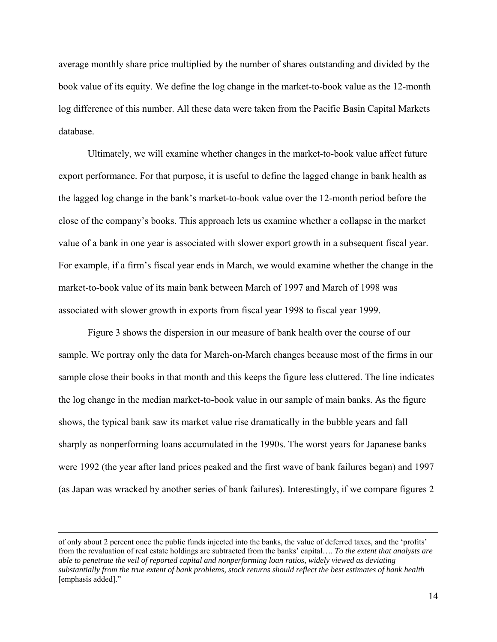average monthly share price multiplied by the number of shares outstanding and divided by the book value of its equity. We define the log change in the market-to-book value as the 12-month log difference of this number. All these data were taken from the Pacific Basin Capital Markets database.

Ultimately, we will examine whether changes in the market-to-book value affect future export performance. For that purpose, it is useful to define the lagged change in bank health as the lagged log change in the bank's market-to-book value over the 12-month period before the close of the company's books. This approach lets us examine whether a collapse in the market value of a bank in one year is associated with slower export growth in a subsequent fiscal year. For example, if a firm's fiscal year ends in March, we would examine whether the change in the market-to-book value of its main bank between March of 1997 and March of 1998 was associated with slower growth in exports from fiscal year 1998 to fiscal year 1999.

Figure 3 shows the dispersion in our measure of bank health over the course of our sample. We portray only the data for March-on-March changes because most of the firms in our sample close their books in that month and this keeps the figure less cluttered. The line indicates the log change in the median market-to-book value in our sample of main banks. As the figure shows, the typical bank saw its market value rise dramatically in the bubble years and fall sharply as nonperforming loans accumulated in the 1990s. The worst years for Japanese banks were 1992 (the year after land prices peaked and the first wave of bank failures began) and 1997 (as Japan was wracked by another series of bank failures). Interestingly, if we compare figures 2

of only about 2 percent once the public funds injected into the banks, the value of deferred taxes, and the 'profits' from the revaluation of real estate holdings are subtracted from the banks' capital…. *To the extent that analysts are able to penetrate the veil of reported capital and nonperforming loan ratios, widely viewed as deviating substantially from the true extent of bank problems, stock returns should reflect the best estimates of bank health* [emphasis added]."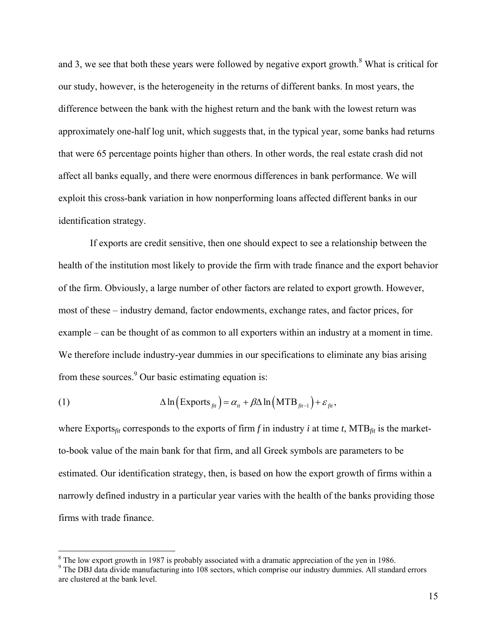and 3, we see that both these years were followed by negative export growth.<sup>8</sup> What is critical for our study, however, is the heterogeneity in the returns of different banks. In most years, the difference between the bank with the highest return and the bank with the lowest return was approximately one-half log unit, which suggests that, in the typical year, some banks had returns that were 65 percentage points higher than others. In other words, the real estate crash did not affect all banks equally, and there were enormous differences in bank performance. We will exploit this cross-bank variation in how nonperforming loans affected different banks in our identification strategy.

 If exports are credit sensitive, then one should expect to see a relationship between the health of the institution most likely to provide the firm with trade finance and the export behavior of the firm. Obviously, a large number of other factors are related to export growth. However, most of these – industry demand, factor endowments, exchange rates, and factor prices, for example – can be thought of as common to all exporters within an industry at a moment in time. We therefore include industry-year dummies in our specifications to eliminate any bias arising from these sources. $9$  Our basic estimating equation is:

(1) 
$$
\Delta \ln \left( \text{Exports}_{\text{fit}} \right) = \alpha_{it} + \beta \Delta \ln \left( \text{MTB}_{\text{fit-1}} \right) + \varepsilon_{\text{fit}},
$$

 $\overline{a}$ 

where Exports<sub>fit</sub> corresponds to the exports of firm f in industry *i* at time *t*, MTB $_{fit}$  is the marketto-book value of the main bank for that firm, and all Greek symbols are parameters to be estimated. Our identification strategy, then, is based on how the export growth of firms within a narrowly defined industry in a particular year varies with the health of the banks providing those firms with trade finance.

<sup>&</sup>lt;sup>8</sup> The low export growth in 1987 is probably associated with a dramatic appreciation of the yen in 1986.

<sup>&</sup>lt;sup>9</sup> The DBJ data divide manufacturing into 108 sectors, which comprise our industry dummies. All standard errors are clustered at the bank level.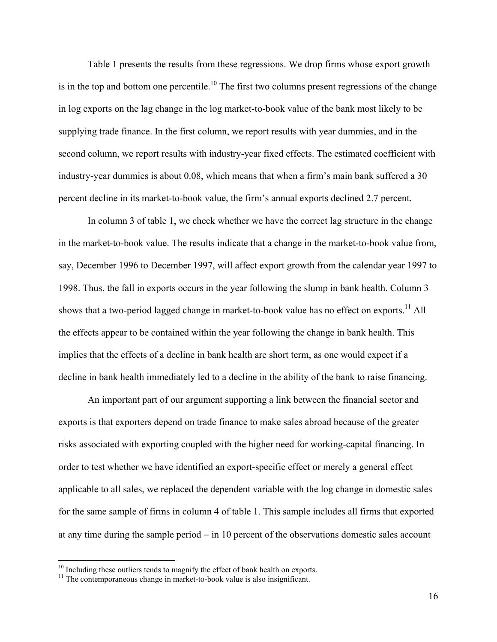Table 1 presents the results from these regressions. We drop firms whose export growth is in the top and bottom one percentile.<sup>10</sup> The first two columns present regressions of the change in log exports on the lag change in the log market-to-book value of the bank most likely to be supplying trade finance. In the first column, we report results with year dummies, and in the second column, we report results with industry-year fixed effects. The estimated coefficient with industry-year dummies is about 0.08, which means that when a firm's main bank suffered a 30 percent decline in its market-to-book value, the firm's annual exports declined 2.7 percent.

In column 3 of table 1, we check whether we have the correct lag structure in the change in the market-to-book value. The results indicate that a change in the market-to-book value from, say, December 1996 to December 1997, will affect export growth from the calendar year 1997 to 1998. Thus, the fall in exports occurs in the year following the slump in bank health. Column 3 shows that a two-period lagged change in market-to-book value has no effect on exports.<sup>11</sup> All the effects appear to be contained within the year following the change in bank health. This implies that the effects of a decline in bank health are short term, as one would expect if a decline in bank health immediately led to a decline in the ability of the bank to raise financing.

An important part of our argument supporting a link between the financial sector and exports is that exporters depend on trade finance to make sales abroad because of the greater risks associated with exporting coupled with the higher need for working-capital financing. In order to test whether we have identified an export-specific effect or merely a general effect applicable to all sales, we replaced the dependent variable with the log change in domestic sales for the same sample of firms in column 4 of table 1. This sample includes all firms that exported at any time during the sample period − in 10 percent of the observations domestic sales account

 $\overline{a}$ 

 $10^{10}$  Including these outliers tends to magnify the effect of bank health on exports.  $11$  The contemporaneous change in market-to-book value is also insignificant.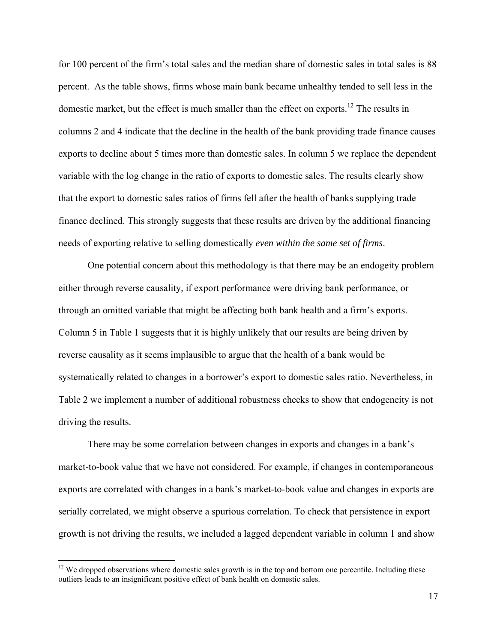for 100 percent of the firm's total sales and the median share of domestic sales in total sales is 88 percent. As the table shows, firms whose main bank became unhealthy tended to sell less in the domestic market, but the effect is much smaller than the effect on exports.<sup>12</sup> The results in columns 2 and 4 indicate that the decline in the health of the bank providing trade finance causes exports to decline about 5 times more than domestic sales. In column 5 we replace the dependent variable with the log change in the ratio of exports to domestic sales. The results clearly show that the export to domestic sales ratios of firms fell after the health of banks supplying trade finance declined. This strongly suggests that these results are driven by the additional financing needs of exporting relative to selling domestically *even within the same set of firms*.

One potential concern about this methodology is that there may be an endogeity problem either through reverse causality, if export performance were driving bank performance, or through an omitted variable that might be affecting both bank health and a firm's exports. Column 5 in Table 1 suggests that it is highly unlikely that our results are being driven by reverse causality as it seems implausible to argue that the health of a bank would be systematically related to changes in a borrower's export to domestic sales ratio. Nevertheless, in Table 2 we implement a number of additional robustness checks to show that endogeneity is not driving the results.

There may be some correlation between changes in exports and changes in a bank's market-to-book value that we have not considered. For example, if changes in contemporaneous exports are correlated with changes in a bank's market-to-book value and changes in exports are serially correlated, we might observe a spurious correlation. To check that persistence in export growth is not driving the results, we included a lagged dependent variable in column 1 and show

 $\overline{a}$ 

 $12$  We dropped observations where domestic sales growth is in the top and bottom one percentile. Including these outliers leads to an insignificant positive effect of bank health on domestic sales.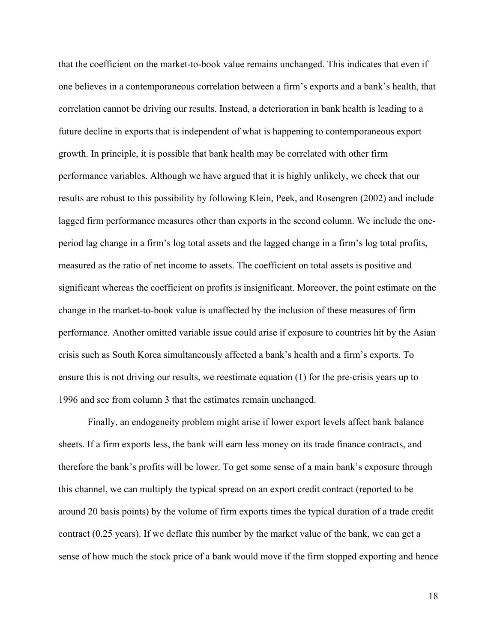that the coefficient on the market-to-book value remains unchanged. This indicates that even if one believes in a contemporaneous correlation between a firm's exports and a bank's health, that correlation cannot be driving our results. Instead, a deterioration in bank health is leading to a future decline in exports that is independent of what is happening to contemporaneous export growth. In principle, it is possible that bank health may be correlated with other firm performance variables. Although we have argued that it is highly unlikely, we check that our results are robust to this possibility by following Klein, Peek, and Rosengren (2002) and include lagged firm performance measures other than exports in the second column. We include the oneperiod lag change in a firm's log total assets and the lagged change in a firm's log total profits, measured as the ratio of net income to assets. The coefficient on total assets is positive and significant whereas the coefficient on profits is insignificant. Moreover, the point estimate on the change in the market-to-book value is unaffected by the inclusion of these measures of firm performance. Another omitted variable issue could arise if exposure to countries hit by the Asian crisis such as South Korea simultaneously affected a bank's health and a firm's exports. To ensure this is not driving our results, we reestimate equation (1) for the pre-crisis years up to 1996 and see from column 3 that the estimates remain unchanged.

Finally, an endogeneity problem might arise if lower export levels affect bank balance sheets. If a firm exports less, the bank will earn less money on its trade finance contracts, and therefore the bank's profits will be lower. To get some sense of a main bank's exposure through this channel, we can multiply the typical spread on an export credit contract (reported to be around 20 basis points) by the volume of firm exports times the typical duration of a trade credit contract (0.25 years). If we deflate this number by the market value of the bank, we can get a sense of how much the stock price of a bank would move if the firm stopped exporting and hence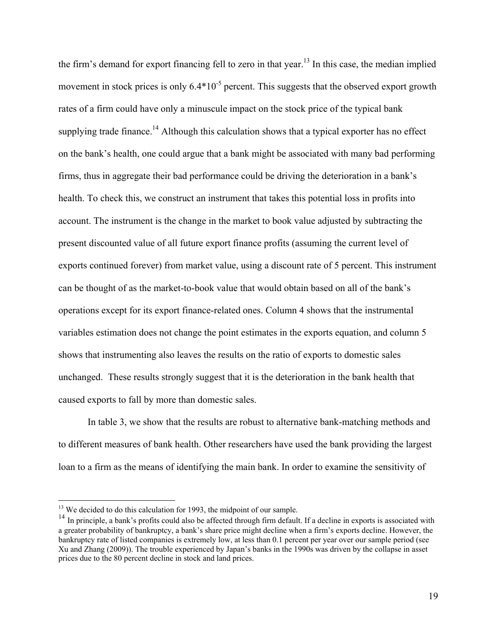the firm's demand for export financing fell to zero in that year.<sup>13</sup> In this case, the median implied movement in stock prices is only  $6.4*10^{-5}$  percent. This suggests that the observed export growth rates of a firm could have only a minuscule impact on the stock price of the typical bank supplying trade finance.<sup>14</sup> Although this calculation shows that a typical exporter has no effect on the bank's health, one could argue that a bank might be associated with many bad performing firms, thus in aggregate their bad performance could be driving the deterioration in a bank's health. To check this, we construct an instrument that takes this potential loss in profits into account. The instrument is the change in the market to book value adjusted by subtracting the present discounted value of all future export finance profits (assuming the current level of exports continued forever) from market value, using a discount rate of 5 percent. This instrument can be thought of as the market-to-book value that would obtain based on all of the bank's operations except for its export finance-related ones. Column 4 shows that the instrumental variables estimation does not change the point estimates in the exports equation, and column 5 shows that instrumenting also leaves the results on the ratio of exports to domestic sales unchanged. These results strongly suggest that it is the deterioration in the bank health that caused exports to fall by more than domestic sales.

In table 3, we show that the results are robust to alternative bank-matching methods and to different measures of bank health. Other researchers have used the bank providing the largest loan to a firm as the means of identifying the main bank. In order to examine the sensitivity of

 $\overline{a}$ 

<sup>&</sup>lt;sup>13</sup> We decided to do this calculation for 1993, the midpoint of our sample.

 $14$  In principle, a bank's profits could also be affected through firm default. If a decline in exports is associated with a greater probability of bankruptcy, a bank's share price might decline when a firm's exports decline. However, the bankruptcy rate of listed companies is extremely low, at less than 0.1 percent per year over our sample period (see Xu and Zhang (2009)). The trouble experienced by Japan's banks in the 1990s was driven by the collapse in asset prices due to the 80 percent decline in stock and land prices.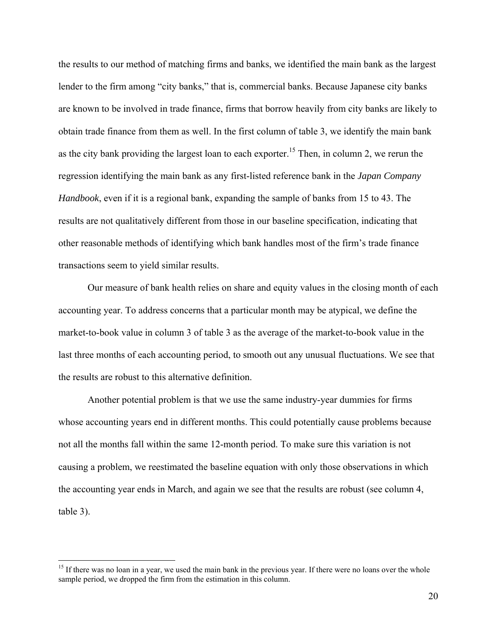the results to our method of matching firms and banks, we identified the main bank as the largest lender to the firm among "city banks," that is, commercial banks. Because Japanese city banks are known to be involved in trade finance, firms that borrow heavily from city banks are likely to obtain trade finance from them as well. In the first column of table 3, we identify the main bank as the city bank providing the largest loan to each exporter.<sup>15</sup> Then, in column 2, we rerun the regression identifying the main bank as any first-listed reference bank in the *Japan Company Handbook*, even if it is a regional bank, expanding the sample of banks from 15 to 43. The results are not qualitatively different from those in our baseline specification, indicating that other reasonable methods of identifying which bank handles most of the firm's trade finance transactions seem to yield similar results.

Our measure of bank health relies on share and equity values in the closing month of each accounting year. To address concerns that a particular month may be atypical, we define the market-to-book value in column 3 of table 3 as the average of the market-to-book value in the last three months of each accounting period, to smooth out any unusual fluctuations. We see that the results are robust to this alternative definition.

Another potential problem is that we use the same industry-year dummies for firms whose accounting years end in different months. This could potentially cause problems because not all the months fall within the same 12-month period. To make sure this variation is not causing a problem, we reestimated the baseline equation with only those observations in which the accounting year ends in March, and again we see that the results are robust (see column 4, table 3).

 $\overline{a}$ 

<sup>&</sup>lt;sup>15</sup> If there was no loan in a year, we used the main bank in the previous year. If there were no loans over the whole sample period, we dropped the firm from the estimation in this column.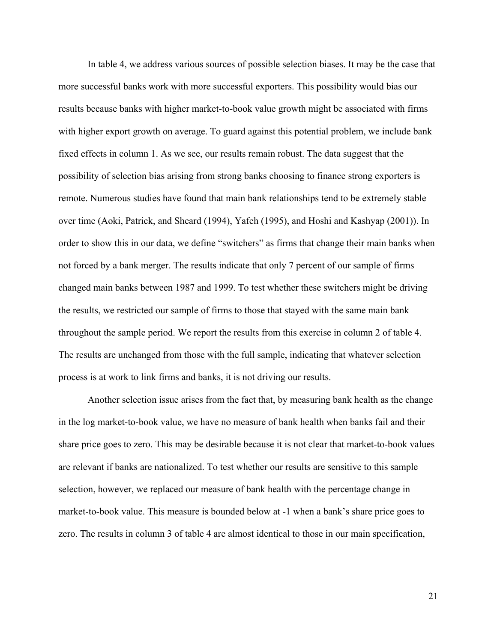In table 4, we address various sources of possible selection biases. It may be the case that more successful banks work with more successful exporters. This possibility would bias our results because banks with higher market-to-book value growth might be associated with firms with higher export growth on average. To guard against this potential problem, we include bank fixed effects in column 1. As we see, our results remain robust. The data suggest that the possibility of selection bias arising from strong banks choosing to finance strong exporters is remote. Numerous studies have found that main bank relationships tend to be extremely stable over time (Aoki, Patrick, and Sheard (1994), Yafeh (1995), and Hoshi and Kashyap (2001)). In order to show this in our data, we define "switchers" as firms that change their main banks when not forced by a bank merger. The results indicate that only 7 percent of our sample of firms changed main banks between 1987 and 1999. To test whether these switchers might be driving the results, we restricted our sample of firms to those that stayed with the same main bank throughout the sample period. We report the results from this exercise in column 2 of table 4. The results are unchanged from those with the full sample, indicating that whatever selection process is at work to link firms and banks, it is not driving our results.

Another selection issue arises from the fact that, by measuring bank health as the change in the log market-to-book value, we have no measure of bank health when banks fail and their share price goes to zero. This may be desirable because it is not clear that market-to-book values are relevant if banks are nationalized. To test whether our results are sensitive to this sample selection, however, we replaced our measure of bank health with the percentage change in market-to-book value. This measure is bounded below at -1 when a bank's share price goes to zero. The results in column 3 of table 4 are almost identical to those in our main specification,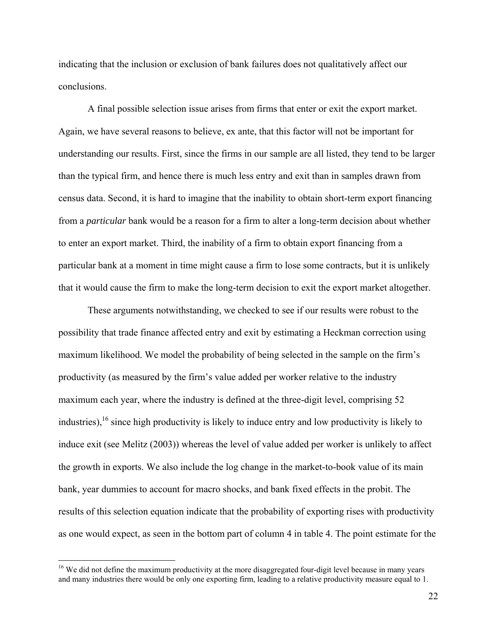indicating that the inclusion or exclusion of bank failures does not qualitatively affect our conclusions.

A final possible selection issue arises from firms that enter or exit the export market. Again, we have several reasons to believe, ex ante, that this factor will not be important for understanding our results. First, since the firms in our sample are all listed, they tend to be larger than the typical firm, and hence there is much less entry and exit than in samples drawn from census data. Second, it is hard to imagine that the inability to obtain short-term export financing from a *particular* bank would be a reason for a firm to alter a long-term decision about whether to enter an export market. Third, the inability of a firm to obtain export financing from a particular bank at a moment in time might cause a firm to lose some contracts, but it is unlikely that it would cause the firm to make the long-term decision to exit the export market altogether.

These arguments notwithstanding, we checked to see if our results were robust to the possibility that trade finance affected entry and exit by estimating a Heckman correction using maximum likelihood. We model the probability of being selected in the sample on the firm's productivity (as measured by the firm's value added per worker relative to the industry maximum each year, where the industry is defined at the three-digit level, comprising 52 industries),16 since high productivity is likely to induce entry and low productivity is likely to induce exit (see Melitz (2003)) whereas the level of value added per worker is unlikely to affect the growth in exports. We also include the log change in the market-to-book value of its main bank, year dummies to account for macro shocks, and bank fixed effects in the probit. The results of this selection equation indicate that the probability of exporting rises with productivity as one would expect, as seen in the bottom part of column 4 in table 4. The point estimate for the

<sup>&</sup>lt;sup>16</sup> We did not define the maximum productivity at the more disaggregated four-digit level because in many years and many industries there would be only one exporting firm, leading to a relative productivity measure equal to 1.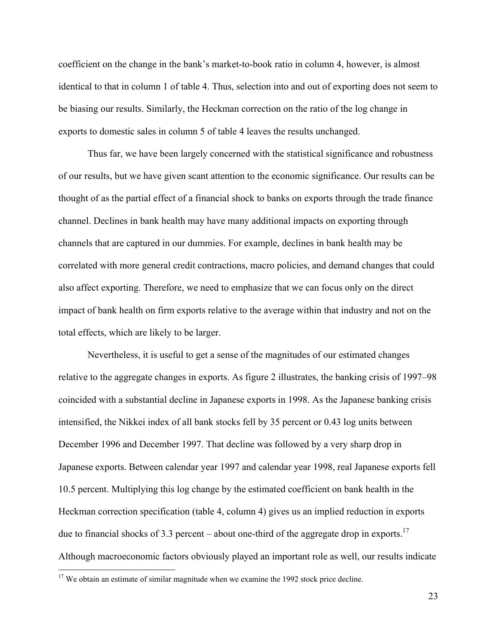coefficient on the change in the bank's market-to-book ratio in column 4, however, is almost identical to that in column 1 of table 4. Thus, selection into and out of exporting does not seem to be biasing our results. Similarly, the Heckman correction on the ratio of the log change in exports to domestic sales in column 5 of table 4 leaves the results unchanged.

Thus far, we have been largely concerned with the statistical significance and robustness of our results, but we have given scant attention to the economic significance. Our results can be thought of as the partial effect of a financial shock to banks on exports through the trade finance channel. Declines in bank health may have many additional impacts on exporting through channels that are captured in our dummies. For example, declines in bank health may be correlated with more general credit contractions, macro policies, and demand changes that could also affect exporting. Therefore, we need to emphasize that we can focus only on the direct impact of bank health on firm exports relative to the average within that industry and not on the total effects, which are likely to be larger.

Nevertheless, it is useful to get a sense of the magnitudes of our estimated changes relative to the aggregate changes in exports. As figure 2 illustrates, the banking crisis of 1997–98 coincided with a substantial decline in Japanese exports in 1998. As the Japanese banking crisis intensified, the Nikkei index of all bank stocks fell by 35 percent or 0.43 log units between December 1996 and December 1997. That decline was followed by a very sharp drop in Japanese exports. Between calendar year 1997 and calendar year 1998, real Japanese exports fell 10.5 percent. Multiplying this log change by the estimated coefficient on bank health in the Heckman correction specification (table 4, column 4) gives us an implied reduction in exports due to financial shocks of 3.3 percent – about one-third of the aggregate drop in exports.<sup>17</sup> Although macroeconomic factors obviously played an important role as well, our results indicate

<u>.</u>

 $17$  We obtain an estimate of similar magnitude when we examine the 1992 stock price decline.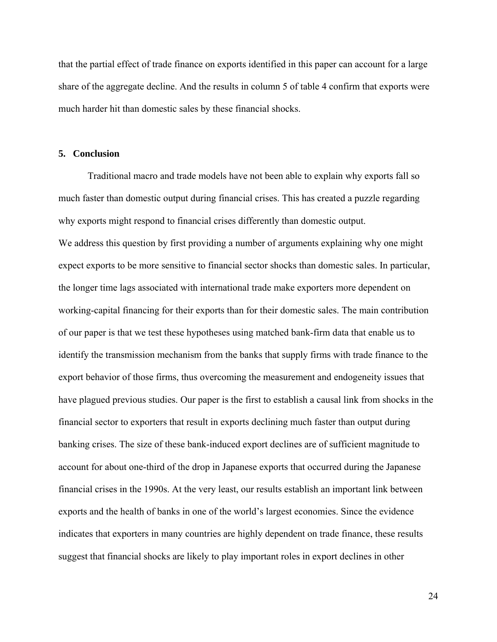that the partial effect of trade finance on exports identified in this paper can account for a large share of the aggregate decline. And the results in column 5 of table 4 confirm that exports were much harder hit than domestic sales by these financial shocks.

## **5. Conclusion**

 Traditional macro and trade models have not been able to explain why exports fall so much faster than domestic output during financial crises. This has created a puzzle regarding why exports might respond to financial crises differently than domestic output. We address this question by first providing a number of arguments explaining why one might expect exports to be more sensitive to financial sector shocks than domestic sales. In particular, the longer time lags associated with international trade make exporters more dependent on working-capital financing for their exports than for their domestic sales. The main contribution of our paper is that we test these hypotheses using matched bank-firm data that enable us to identify the transmission mechanism from the banks that supply firms with trade finance to the export behavior of those firms, thus overcoming the measurement and endogeneity issues that have plagued previous studies. Our paper is the first to establish a causal link from shocks in the financial sector to exporters that result in exports declining much faster than output during banking crises. The size of these bank-induced export declines are of sufficient magnitude to account for about one-third of the drop in Japanese exports that occurred during the Japanese financial crises in the 1990s. At the very least, our results establish an important link between exports and the health of banks in one of the world's largest economies. Since the evidence indicates that exporters in many countries are highly dependent on trade finance, these results suggest that financial shocks are likely to play important roles in export declines in other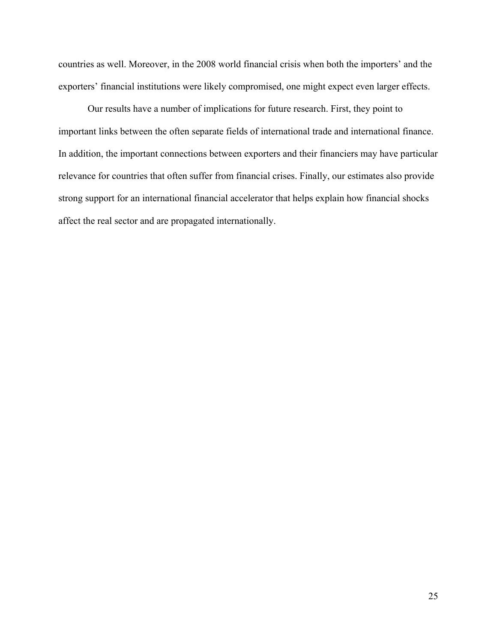countries as well. Moreover, in the 2008 world financial crisis when both the importers' and the exporters' financial institutions were likely compromised, one might expect even larger effects.

Our results have a number of implications for future research. First, they point to important links between the often separate fields of international trade and international finance. In addition, the important connections between exporters and their financiers may have particular relevance for countries that often suffer from financial crises. Finally, our estimates also provide strong support for an international financial accelerator that helps explain how financial shocks affect the real sector and are propagated internationally.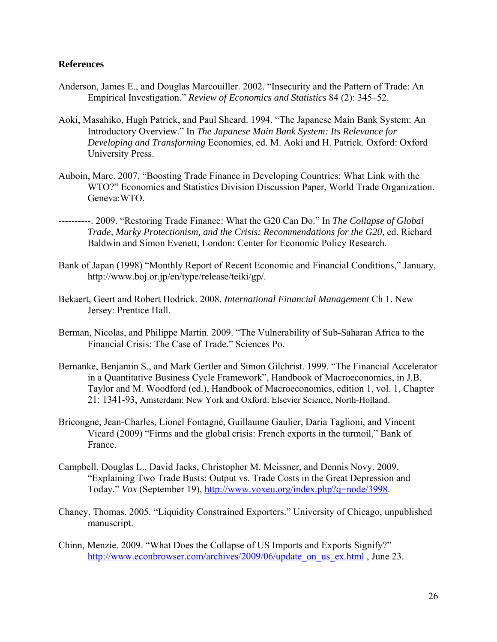## **References**

- Anderson, James E., and Douglas Marcouiller. 2002. "Insecurity and the Pattern of Trade: An Empirical Investigation." *Review of Economics and Statistics* 84 (2): 345–52.
- Aoki, Masahiko, Hugh Patrick, and Paul Sheard. 1994. "The Japanese Main Bank System: An Introductory Overview." In *The Japanese Main Bank System: Its Relevance for Developing and Transforming* Economies, ed. M. Aoki and H. Patrick. Oxford: Oxford University Press.
- Auboin, Marc. 2007. "Boosting Trade Finance in Developing Countries: What Link with the WTO?" Economics and Statistics Division Discussion Paper, World Trade Organization. Geneva:WTO.
- ----------. 2009. "Restoring Trade Finance: What the G20 Can Do." In *The Collapse of Global Trade, Murky Protectionism, and the Crisis: Recommendations for the G20*, ed. Richard Baldwin and Simon Evenett, London: Center for Economic Policy Research.
- Bank of Japan (1998) "Monthly Report of Recent Economic and Financial Conditions," January, http://www.boj.or.jp/en/type/release/teiki/gp/.
- Bekaert, Geert and Robert Hodrick. 2008. *International Financial Management* Ch 1. New Jersey: Prentice Hall.
- Berman, Nicolas, and Philippe Martin. 2009. "The Vulnerability of Sub-Saharan Africa to the Financial Crisis: The Case of Trade." Sciences Po.
- Bernanke, Benjamin S., and Mark Gertler and Simon Gilchrist. 1999. "The Financial Accelerator in a Quantitative Business Cycle Framework", Handbook of Macroeconomics, in J.B. Taylor and M. Woodford (ed.), Handbook of Macroeconomics, edition 1, vol. 1, Chapter 21: 1341-93, Amsterdam; New York and Oxford: Elsevier Science, North-Holland.
- Bricongne, Jean-Charles, Lionel Fontagné, Guillaume Gaulier, Daria Taglioni, and Vincent Vicard (2009) "Firms and the global crisis: French exports in the turmoil," Bank of France.
- Campbell, Douglas L., David Jacks, Christopher M. Meissner, and Dennis Novy. 2009. "Explaining Two Trade Busts: Output vs. Trade Costs in the Great Depression and Today." *Vox* (September 19), http://www.voxeu.org/index.php?q=node/3998.
- Chaney, Thomas. 2005. "Liquidity Constrained Exporters." University of Chicago, unpublished manuscript.
- Chinn, Menzie. 2009. "What Does the Collapse of US Imports and Exports Signify?" http://www.econbrowser.com/archives/2009/06/update\_on\_us\_ex.html , June 23.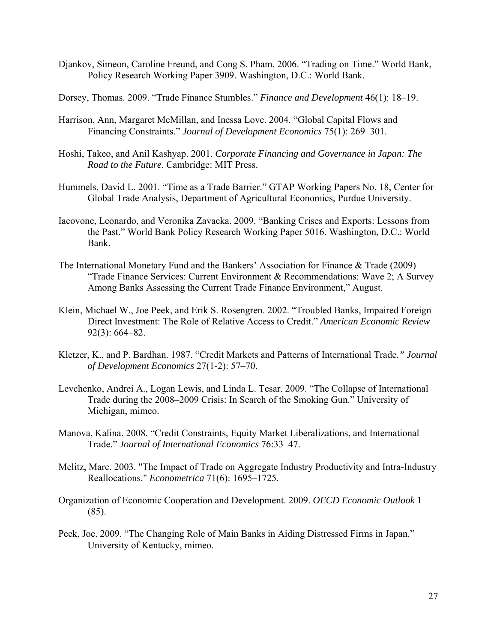- Djankov, Simeon, Caroline Freund, and Cong S. Pham. 2006. "Trading on Time." World Bank, Policy Research Working Paper 3909. Washington, D.C.: World Bank.
- Dorsey, Thomas. 2009. "Trade Finance Stumbles." *Finance and Development* 46(1): 18–19.
- Harrison, Ann, Margaret McMillan, and Inessa Love. 2004. "Global Capital Flows and Financing Constraints." *Journal of Development Economics* 75(1): 269–301.
- Hoshi, Takeo, and Anil Kashyap. 2001. *Corporate Financing and Governance in Japan: The Road to the Future.* Cambridge: MIT Press.
- Hummels, David L. 2001. "Time as a Trade Barrier." GTAP Working Papers No. 18, Center for Global Trade Analysis, Department of Agricultural Economics, Purdue University.
- Iacovone, Leonardo, and Veronika Zavacka. 2009. "Banking Crises and Exports: Lessons from the Past." World Bank Policy Research Working Paper 5016. Washington, D.C.: World Bank.
- The International Monetary Fund and the Bankers' Association for Finance & Trade (2009) "Trade Finance Services: Current Environment & Recommendations: Wave 2; A Survey Among Banks Assessing the Current Trade Finance Environment," August.
- Klein, Michael W., Joe Peek, and Erik S. Rosengren. 2002. "Troubled Banks, Impaired Foreign Direct Investment: The Role of Relative Access to Credit." *American Economic Review* 92(3): 664–82.
- Kletzer, K., and P. Bardhan. 1987. "Credit Markets and Patterns of International Trade.*" Journal of Development Economics* 27(1-2): 57–70.
- Levchenko, Andrei A., Logan Lewis, and Linda L. Tesar. 2009. "The Collapse of International Trade during the 2008–2009 Crisis: In Search of the Smoking Gun." University of Michigan, mimeo.
- Manova, Kalina. 2008. "Credit Constraints, Equity Market Liberalizations, and International Trade." *Journal of International Economics* 76:33–47.
- Melitz, Marc. 2003. "The Impact of Trade on Aggregate Industry Productivity and Intra-Industry Reallocations." *Econometrica* 71(6): 1695–1725.
- Organization of Economic Cooperation and Development. 2009. *OECD Economic Outlook* 1  $(85)$ .
- Peek, Joe. 2009. "The Changing Role of Main Banks in Aiding Distressed Firms in Japan." University of Kentucky, mimeo.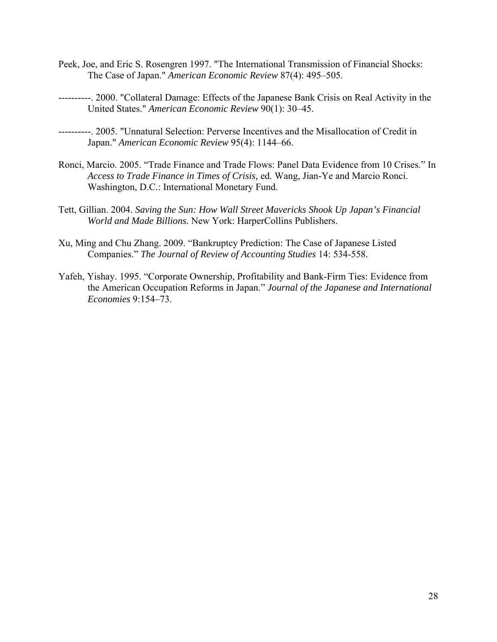- Peek, Joe, and Eric S. Rosengren 1997. "The International Transmission of Financial Shocks: The Case of Japan." *American Economic Review* 87(4): 495–505.
- ----------. 2000. "Collateral Damage: Effects of the Japanese Bank Crisis on Real Activity in the United States." *American Economic Review* 90(1): 30–45.
- ----------. 2005. "Unnatural Selection: Perverse Incentives and the Misallocation of Credit in Japan." *American Economic Review* 95(4): 1144–66.
- Ronci, Marcio. 2005. "Trade Finance and Trade Flows: Panel Data Evidence from 10 Crises." In *Access to Trade Finance in Times of Crisis,* ed*.* Wang, Jian-Ye and Marcio Ronci. Washington, D.C.: International Monetary Fund.
- Tett, Gillian. 2004. *Saving the Sun: How Wall Street Mavericks Shook Up Japan's Financial World and Made Billions.* New York: HarperCollins Publishers.
- Xu, Ming and Chu Zhang. 2009. "Bankruptcy Prediction: The Case of Japanese Listed Companies." *The Journal of Review of Accounting Studies* 14: 534-558.
- Yafeh, Yishay. 1995. "Corporate Ownership, Profitability and Bank-Firm Ties: Evidence from the American Occupation Reforms in Japan." *Journal of the Japanese and International Economies* 9:154–73.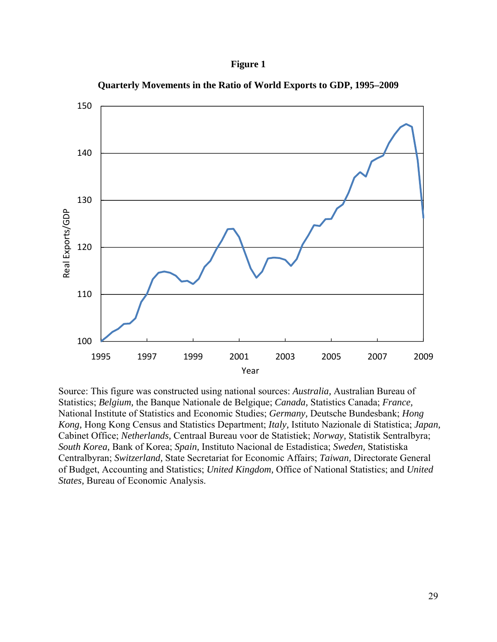## **Figure 1**



**Quarterly Movements in the Ratio of World Exports to GDP, 1995–2009** 

Source: This figure was constructed using national sources: *Australia,* Australian Bureau of Statistics; *Belgium,* the Banque Nationale de Belgique; *Canada,* Statistics Canada; *France,* National Institute of Statistics and Economic Studies; *Germany,* Deutsche Bundesbank; *Hong Kong,* Hong Kong Census and Statistics Department; *Italy,* Istituto Nazionale di Statistica; *Japan,* Cabinet Office; *Netherlands,* Centraal Bureau voor de Statistiek; *Norway,* Statistik Sentralbyra; *South Korea,* Bank of Korea; *Spain,* Instituto Nacional de Estadistica; *Sweden,* Statistiska Centralbyran; *Switzerland,* State Secretariat for Economic Affairs; *Taiwan,* Directorate General of Budget, Accounting and Statistics; *United Kingdom,* Office of National Statistics; and *United States,* Bureau of Economic Analysis.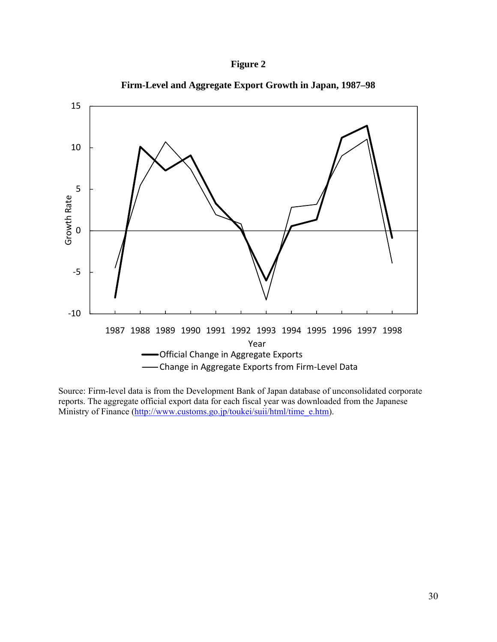



**Firm-Level and Aggregate Export Growth in Japan, 1987–98** 

Source: Firm-level data is from the Development Bank of Japan database of unconsolidated corporate reports. The aggregate official export data for each fiscal year was downloaded from the Japanese Ministry of Finance (http://www.customs.go.jp/toukei/suii/html/time\_e.htm).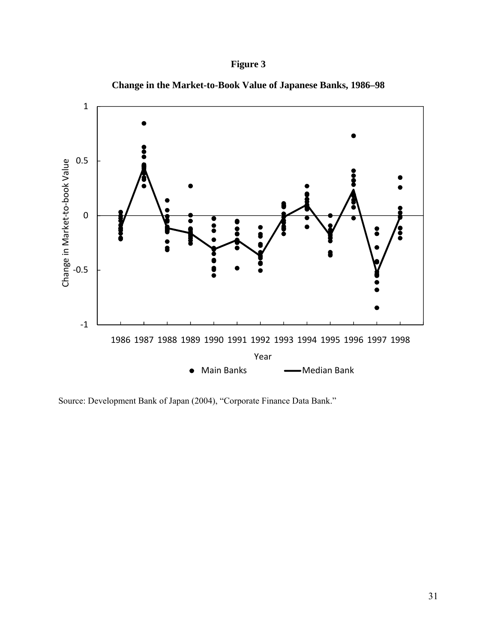# **Figure 3**





Source: Development Bank of Japan (2004), "Corporate Finance Data Bank."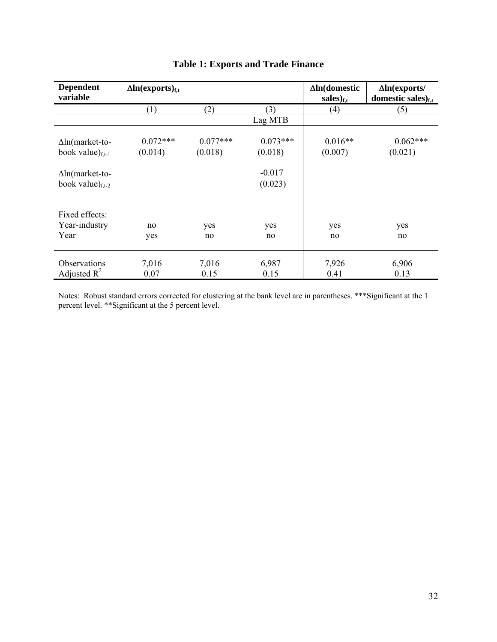| <b>Dependent</b><br>variable                     | $\Delta$ ln(exports) <sub>f.t</sub> |                       |                       | $\Delta$ ln(domestic<br>$sales)_{f,t}$ | $\Delta$ ln(exports/<br>domestic sales) $_{\rm f.t.}$ |
|--------------------------------------------------|-------------------------------------|-----------------------|-----------------------|----------------------------------------|-------------------------------------------------------|
|                                                  | (1)                                 | (2)                   | (3)                   | (4)                                    | (5)                                                   |
|                                                  |                                     |                       | Lag MTB               |                                        |                                                       |
| $\Delta$ ln(market-to-<br>book value) $_{f,t-1}$ | $0.072***$<br>(0.014)               | $0.077***$<br>(0.018) | $0.073***$<br>(0.018) | $0.016**$<br>(0.007)                   | $0.062***$<br>(0.021)                                 |
| $\Delta$ ln(market-to-<br>book value) $_{f,t-2}$ |                                     |                       | $-0.017$<br>(0.023)   |                                        |                                                       |
| Fixed effects:<br>Year-industry<br>Year          | no<br>yes                           | yes<br>no             | yes<br>no             | yes<br>no                              | yes<br>no                                             |
| <b>Observations</b><br>Adjusted $R^2$            | 7,016<br>0.07                       | 7,016<br>0.15         | 6,987<br>0.15         | 7,926<br>0.41                          | 6,906<br>0.13                                         |

# **Table 1: Exports and Trade Finance**

Notes: Robust standard errors corrected for clustering at the bank level are in parentheses. \*\*\*Significant at the 1 percent level. \*\*Significant at the 5 percent level.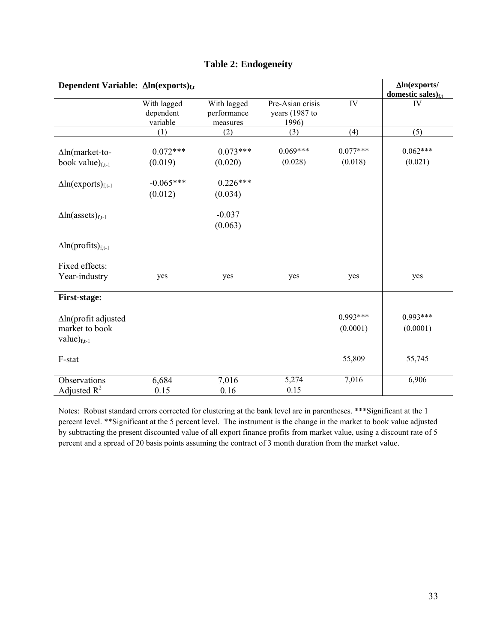| Dependent Variable: $\Delta ln(exports)_{f,t}$             |                                      |                                        |                                             |                        | $\Delta$ In(exports/<br>domestic sales) $_{f,t}$ |
|------------------------------------------------------------|--------------------------------------|----------------------------------------|---------------------------------------------|------------------------|--------------------------------------------------|
|                                                            | With lagged<br>dependent<br>variable | With lagged<br>performance<br>measures | Pre-Asian crisis<br>years (1987 to<br>1996) | IV                     | IV                                               |
|                                                            | (1)                                  | (2)                                    | (3)                                         | (4)                    | (5)                                              |
| $\Delta$ ln(market-to-                                     | $0.072***$                           | $0.073***$                             | $0.069***$                                  | $0.077***$             | $0.062***$                                       |
| book value) $_{f,t-1}$                                     | (0.019)                              | (0.020)                                | (0.028)                                     | (0.018)                | (0.021)                                          |
| $\Delta$ ln(exports) <sub>f,t-1</sub>                      | $-0.065***$<br>(0.012)               | $0.226***$<br>(0.034)                  |                                             |                        |                                                  |
| $\Delta$ ln(assets) <sub>f,t-1</sub>                       |                                      | $-0.037$<br>(0.063)                    |                                             |                        |                                                  |
| $\Delta$ ln(profits) <sub>f,t-1</sub>                      |                                      |                                        |                                             |                        |                                                  |
| Fixed effects:<br>Year-industry                            | yes                                  | yes                                    | yes                                         | yes                    | yes                                              |
| <b>First-stage:</b>                                        |                                      |                                        |                                             |                        |                                                  |
| Aln(profit adjusted<br>market to book<br>value $)_{f,t-1}$ |                                      |                                        |                                             | $0.993***$<br>(0.0001) | $0.993***$<br>(0.0001)                           |
| F-stat                                                     |                                      |                                        |                                             | 55,809                 | 55,745                                           |
| Observations<br>Adjusted $R^2$                             | 6,684<br>0.15                        | 7,016<br>0.16                          | 5,274<br>0.15                               | 7,016                  | 6,906                                            |

# **Table 2: Endogeneity**

Notes: Robust standard errors corrected for clustering at the bank level are in parentheses. \*\*\*Significant at the 1 percent level. \*\*Significant at the 5 percent level. The instrument is the change in the market to book value adjusted by subtracting the present discounted value of all export finance profits from market value, using a discount rate of 5 percent and a spread of 20 basis points assuming the contract of 3 month duration from the market value.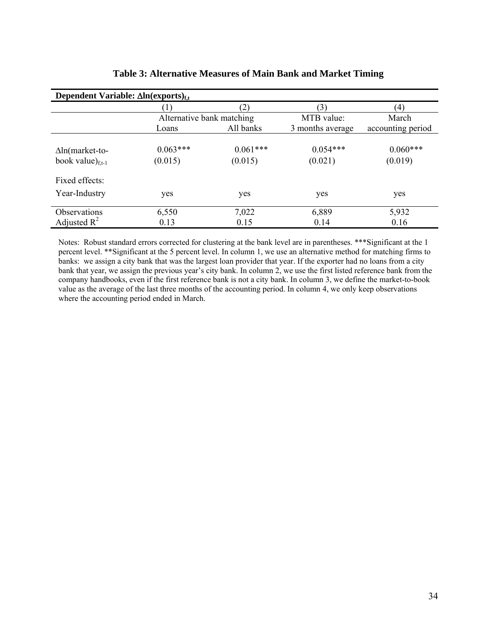| Dependent Variable: $\Delta ln$ (exports) <sub>f.t</sub> |                           |                       |                       |                       |  |  |
|----------------------------------------------------------|---------------------------|-----------------------|-----------------------|-----------------------|--|--|
|                                                          |                           |                       | (3)                   | (4)                   |  |  |
|                                                          | Alternative bank matching |                       | MTB value:            | March                 |  |  |
|                                                          | Loans                     | All banks             | 3 months average      | accounting period     |  |  |
| $\Delta$ ln(market-to-<br>book value) $_{f,t-1}$         | $0.063***$<br>(0.015)     | $0.061***$<br>(0.015) | $0.054***$<br>(0.021) | $0.060***$<br>(0.019) |  |  |
| Fixed effects:                                           |                           |                       |                       |                       |  |  |
| Year-Industry                                            | yes                       | yes                   | yes                   | yes                   |  |  |
| <b>Observations</b>                                      | 6,550                     | 7,022                 | 6,889                 | 5,932                 |  |  |
| Adjusted $R^2$                                           | 0.13                      | 0.15                  | 0.14                  | 0.16                  |  |  |

## **Table 3: Alternative Measures of Main Bank and Market Timing**

Notes: Robust standard errors corrected for clustering at the bank level are in parentheses. \*\*\*Significant at the 1 percent level. \*\*Significant at the 5 percent level. In column 1, we use an alternative method for matching firms to banks: we assign a city bank that was the largest loan provider that year. If the exporter had no loans from a city bank that year, we assign the previous year's city bank. In column 2, we use the first listed reference bank from the company handbooks, even if the first reference bank is not a city bank. In column 3, we define the market-to-book value as the average of the last three months of the accounting period. In column 4, we only keep observations where the accounting period ended in March.